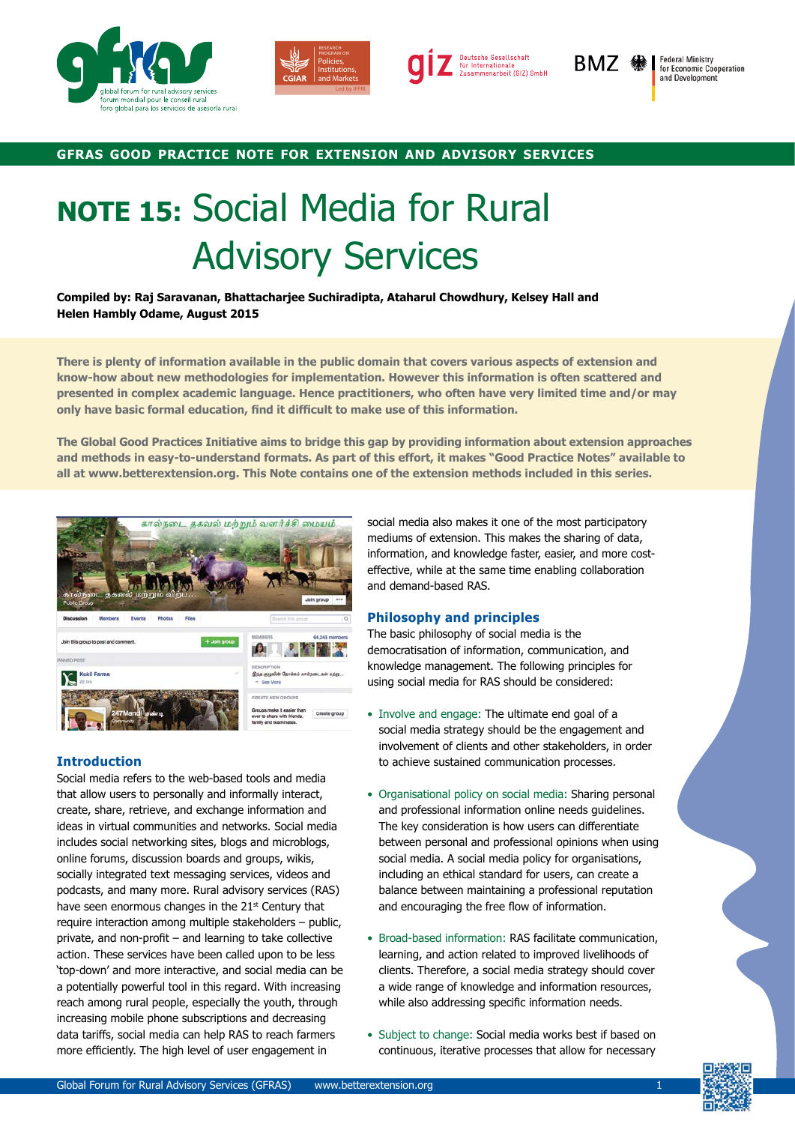





BMZ <sup>§</sup>

**Federal Ministry<br>for Economic Cooperation** and Development

## **gfras good practice note for extension and advisory services**

# **NOTE 15:** Social Media for Rural Advisory Services

**Compiled by: Raj Saravanan, Bhattacharjee Suchiradipta, Ataharul Chowdhury, Kelsey Hall and Helen Hambly Odame, August 2015**

**There is plenty of information available in the public domain that covers various aspects of extension and know-how about new methodologies for implementation. However this information is often scattered and presented in complex academic language. Hence practitioners, who often have very limited time and/or may only have basic formal education, find it difficult to make use of this information.**

**The Global Good Practices Initiative aims to bridge this gap by providing information about extension approaches and methods in easy-to-understand formats. As part of this effort, it makes "Good Practice Notes" available to all at www.betterextension.org. This Note contains one of the extension methods included in this series.**



## **Introduction**

Social media refers to the web-based tools and media that allow users to personally and informally interact, create, share, retrieve, and exchange information and ideas in virtual communities and networks. Social media includes social networking sites, blogs and microblogs, online forums, discussion boards and groups, wikis, socially integrated text messaging services, videos and podcasts, and many more. Rural advisory services (RAS) have seen enormous changes in the 21<sup>st</sup> Century that require interaction among multiple stakeholders - public, private, and non-profit – and learning to take collective action. These services have been called upon to be less 'top-down' and more interactive, and social media can be a potentially powerful tool in this regard. With increasing reach among rural people, especially the youth, through increasing mobile phone subscriptions and decreasing data tariffs, social media can help RAS to reach farmers more efficiently. The high level of user engagement in

social media also makes it one of the most participatory mediums of extension. This makes the sharing of data, information, and knowledge faster, easier, and more costeffective, while at the same time enabling collaboration and demand-based RAS.

## **Philosophy and principles**

The basic philosophy of social media is the democratisation of information, communication, and knowledge management. The following principles for using social media for RAS should be considered:

- Involve and engage: The ultimate end goal of a social media strategy should be the engagement and involvement of clients and other stakeholders, in order to achieve sustained communication processes.
- Organisational policy on social media: Sharing personal and professional information online needs guidelines. The key consideration is how users can differentiate between personal and professional opinions when using social media. A social media policy for organisations, including an ethical standard for users, can create a balance between maintaining a professional reputation and encouraging the free flow of information.
- Broad-based information: RAS facilitate communication, learning, and action related to improved livelihoods of clients. Therefore, a social media strategy should cover a wide range of knowledge and information resources, while also addressing specific information needs.
- Subject to change: Social media works best if based on continuous, iterative processes that allow for necessary

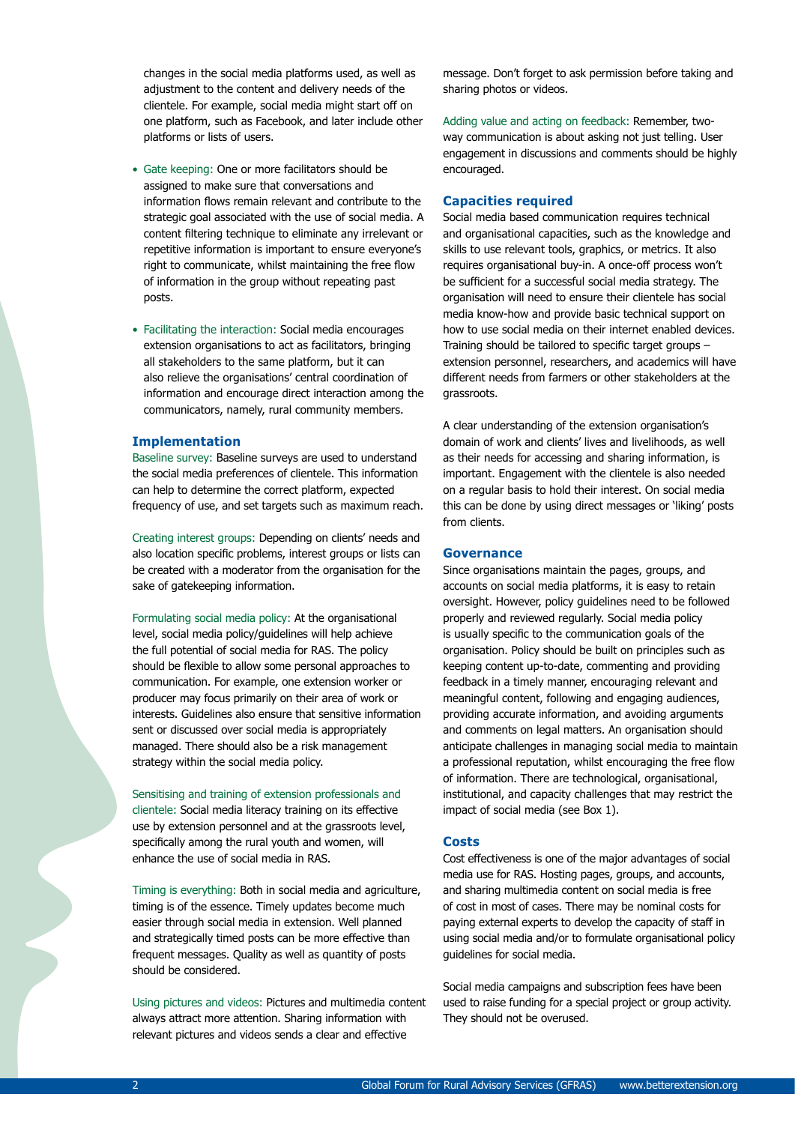changes in the social media platforms used, as well as adjustment to the content and delivery needs of the clientele. For example, social media might start off on one platform, such as Facebook, and later include other platforms or lists of users.

- Gate keeping: One or more facilitators should be assigned to make sure that conversations and information flows remain relevant and contribute to the strategic goal associated with the use of social media. A content filtering technique to eliminate any irrelevant or repetitive information is important to ensure everyone's right to communicate, whilst maintaining the free flow of information in the group without repeating past posts.
- Facilitating the interaction: Social media encourages extension organisations to act as facilitators, bringing all stakeholders to the same platform, but it can also relieve the organisations' central coordination of information and encourage direct interaction among the communicators, namely, rural community members.

#### **Implementation**

Baseline survey: Baseline surveys are used to understand the social media preferences of clientele. This information can help to determine the correct platform, expected frequency of use, and set targets such as maximum reach.

Creating interest groups: Depending on clients' needs and also location specific problems, interest groups or lists can be created with a moderator from the organisation for the sake of gatekeeping information.

Formulating social media policy: At the organisational level, social media policy/guidelines will help achieve the full potential of social media for RAS. The policy should be flexible to allow some personal approaches to communication. For example, one extension worker or producer may focus primarily on their area of work or interests. Guidelines also ensure that sensitive information sent or discussed over social media is appropriately managed. There should also be a risk management strategy within the social media policy.

Sensitising and training of extension professionals and clientele: Social media literacy training on its effective use by extension personnel and at the grassroots level, specifically among the rural youth and women, will enhance the use of social media in RAS.

Timing is everything: Both in social media and agriculture, timing is of the essence. Timely updates become much easier through social media in extension. Well planned and strategically timed posts can be more effective than frequent messages. Quality as well as quantity of posts should be considered.

Using pictures and videos: Pictures and multimedia content always attract more attention. Sharing information with relevant pictures and videos sends a clear and effective

message. Don't forget to ask permission before taking and sharing photos or videos.

Adding value and acting on feedback: Remember, twoway communication is about asking not just telling. User engagement in discussions and comments should be highly encouraged.

#### **Capacities required**

Social media based communication requires technical and organisational capacities, such as the knowledge and skills to use relevant tools, graphics, or metrics. It also requires organisational buy-in. A once-off process won't be sufficient for a successful social media strategy. The organisation will need to ensure their clientele has social media know-how and provide basic technical support on how to use social media on their internet enabled devices. Training should be tailored to specific target groups – extension personnel, researchers, and academics will have different needs from farmers or other stakeholders at the grassroots.

A clear understanding of the extension organisation's domain of work and clients' lives and livelihoods, as well as their needs for accessing and sharing information, is important. Engagement with the clientele is also needed on a regular basis to hold their interest. On social media this can be done by using direct messages or 'liking' posts from clients.

#### **Governance**

Since organisations maintain the pages, groups, and accounts on social media platforms, it is easy to retain oversight. However, policy guidelines need to be followed properly and reviewed regularly. Social media policy is usually specific to the communication goals of the organisation. Policy should be built on principles such as keeping content up-to-date, commenting and providing feedback in a timely manner, encouraging relevant and meaningful content, following and engaging audiences, providing accurate information, and avoiding arguments and comments on legal matters. An organisation should anticipate challenges in managing social media to maintain a professional reputation, whilst encouraging the free flow of information. There are technological, organisational, institutional, and capacity challenges that may restrict the impact of social media (see Box 1).

## **Costs**

Cost effectiveness is one of the major advantages of social media use for RAS. Hosting pages, groups, and accounts, and sharing multimedia content on social media is free of cost in most of cases. There may be nominal costs for paying external experts to develop the capacity of staff in using social media and/or to formulate organisational policy guidelines for social media.

Social media campaigns and subscription fees have been used to raise funding for a special project or group activity. They should not be overused.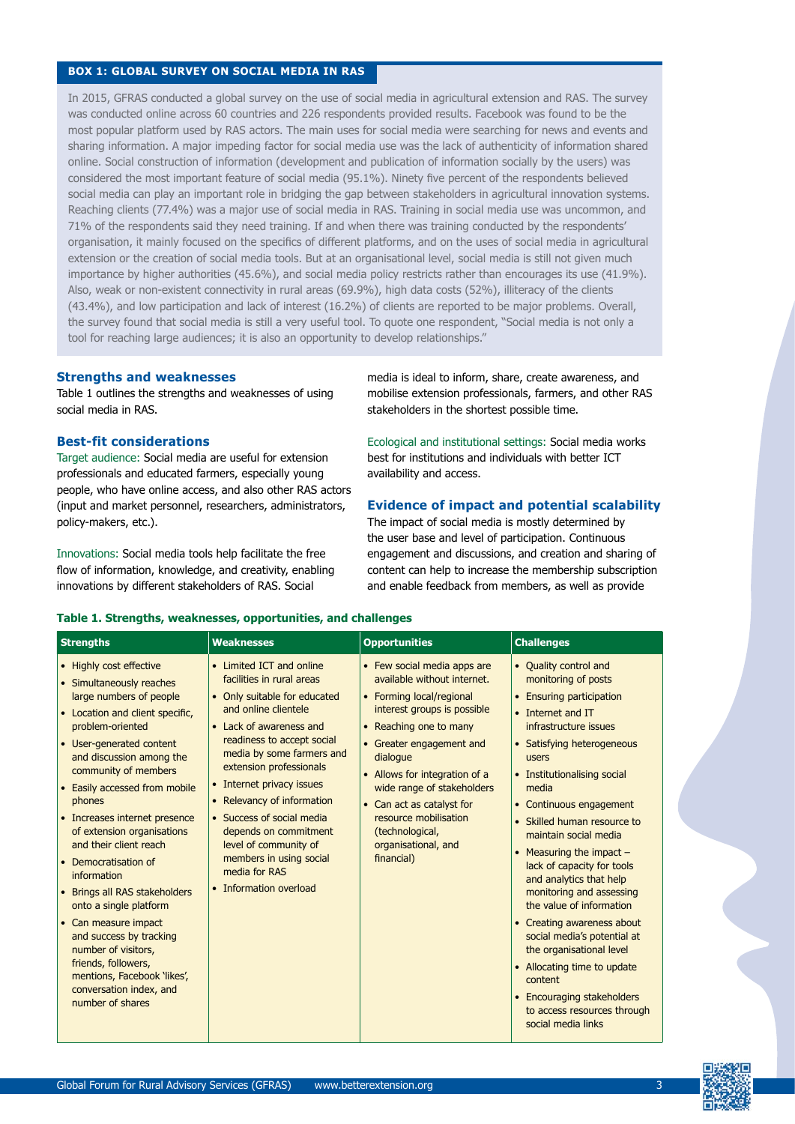## **BOX 1: GLOBAL SURVEY ON SOCIAL MEDIA IN RAS**

In 2015, GFRAS conducted a global survey on the use of social media in agricultural extension and RAS. The survey was conducted online across 60 countries and 226 respondents provided results. Facebook was found to be the most popular platform used by RAS actors. The main uses for social media were searching for news and events and sharing information. A major impeding factor for social media use was the lack of authenticity of information shared online. Social construction of information (development and publication of information socially by the users) was considered the most important feature of social media (95.1%). Ninety five percent of the respondents believed social media can play an important role in bridging the gap between stakeholders in agricultural innovation systems. Reaching clients (77.4%) was a major use of social media in RAS. Training in social media use was uncommon, and 71% of the respondents said they need training. If and when there was training conducted by the respondents' organisation, it mainly focused on the specifics of different platforms, and on the uses of social media in agricultural extension or the creation of social media tools. But at an organisational level, social media is still not given much importance by higher authorities (45.6%), and social media policy restricts rather than encourages its use (41.9%). Also, weak or non-existent connectivity in rural areas (69.9%), high data costs (52%), illiteracy of the clients (43.4%), and low participation and lack of interest (16.2%) of clients are reported to be major problems. Overall, the survey found that social media is still a very useful tool. To quote one respondent, "Social media is not only a tool for reaching large audiences; it is also an opportunity to develop relationships."

#### **Strengths and weaknesses**

Table 1 outlines the strengths and weaknesses of using social media in RAS.

## **Best-fit considerations**

Target audience: Social media are useful for extension professionals and educated farmers, especially young people, who have online access, and also other RAS actors (input and market personnel, researchers, administrators, policy-makers, etc.).

Innovations: Social media tools help facilitate the free flow of information, knowledge, and creativity, enabling innovations by different stakeholders of RAS. Social

media is ideal to inform, share, create awareness, and mobilise extension professionals, farmers, and other RAS stakeholders in the shortest possible time.

Ecological and institutional settings: Social media works best for institutions and individuals with better ICT availability and access.

## **Evidence of impact and potential scalability**

The impact of social media is mostly determined by the user base and level of participation. Continuous engagement and discussions, and creation and sharing of content can help to increase the membership subscription and enable feedback from members, as well as provide

| <b>Strengths</b>                                                                                                                                                                                                                                                                                                                                                                                                                                                                                                                                                                                                                           | <b>Weaknesses</b>                                                                                                                                                                                                                                                                                                                                                                                                                              | <b>Opportunities</b>                                                                                                                                                                                                                                                                                                                                                 | <b>Challenges</b>                                                                                                                                                                                                                                                                                                                                                                                                                                                                                                                                                                                                                                             |
|--------------------------------------------------------------------------------------------------------------------------------------------------------------------------------------------------------------------------------------------------------------------------------------------------------------------------------------------------------------------------------------------------------------------------------------------------------------------------------------------------------------------------------------------------------------------------------------------------------------------------------------------|------------------------------------------------------------------------------------------------------------------------------------------------------------------------------------------------------------------------------------------------------------------------------------------------------------------------------------------------------------------------------------------------------------------------------------------------|----------------------------------------------------------------------------------------------------------------------------------------------------------------------------------------------------------------------------------------------------------------------------------------------------------------------------------------------------------------------|---------------------------------------------------------------------------------------------------------------------------------------------------------------------------------------------------------------------------------------------------------------------------------------------------------------------------------------------------------------------------------------------------------------------------------------------------------------------------------------------------------------------------------------------------------------------------------------------------------------------------------------------------------------|
| • Highly cost effective<br>• Simultaneously reaches<br>large numbers of people<br>• Location and client specific,<br>problem-oriented<br>• User-generated content<br>and discussion among the<br>community of members<br>• Easily accessed from mobile<br>phones<br>• Increases internet presence<br>of extension organisations<br>and their client reach<br>• Democratisation of<br>information<br>• Brings all RAS stakeholders<br>onto a single platform<br>• Can measure impact<br>and success by tracking<br>number of visitors,<br>friends, followers,<br>mentions, Facebook 'likes',<br>conversation index, and<br>number of shares | • Limited ICT and online<br>facilities in rural areas<br>• Only suitable for educated<br>and online clientele<br>• Lack of awareness and<br>readiness to accept social<br>media by some farmers and<br>extension professionals<br>• Internet privacy issues<br>• Relevancy of information<br>• Success of social media<br>depends on commitment<br>level of community of<br>members in using social<br>media for RAS<br>• Information overload | • Few social media apps are<br>available without internet.<br>• Forming local/regional<br>interest groups is possible<br>• Reaching one to many<br>• Greater engagement and<br>dialogue<br>• Allows for integration of a<br>wide range of stakeholders<br>• Can act as catalyst for<br>resource mobilisation<br>(technological,<br>organisational, and<br>financial) | • Quality control and<br>monitoring of posts<br>• Ensuring participation<br>• Internet and IT<br>infrastructure issues<br>• Satisfying heterogeneous<br>users<br>• Institutionalising social<br>media<br>• Continuous engagement<br>• Skilled human resource to<br>maintain social media<br>• Measuring the impact $-$<br>lack of capacity for tools<br>and analytics that help<br>monitoring and assessing<br>the value of information<br>• Creating awareness about<br>social media's potential at<br>the organisational level<br>• Allocating time to update<br>content<br>• Encouraging stakeholders<br>to access resources through<br>social media links |

## **Table 1. Strengths, weaknesses, opportunities, and challenges**